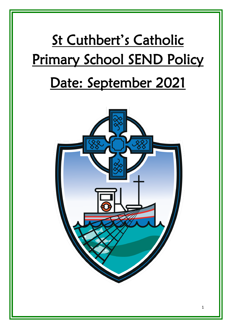# St Cuthbert's Catholic Primary School SEND Policy Date: September 2021



 $\overline{\phantom{a}}$ 

 $\overline{\phantom{a}}$ 

 $\overline{\phantom{a}}$ 

 $\overline{\phantom{a}}$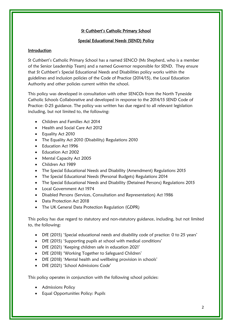# St Cuthbert's Catholic Primary School

# Special Educational Needs (SEND) Policy

# Introduction

St Cuthbert's Catholic Primary School has a named SENCO (Ms Shepherd, who is a member of the Senior Leadership Team) and a named Governor responsible for SEND. They ensure that St Cuthbert's Special Educational Needs and Disabilities policy works within the guidelines and inclusion policies of the Code of Practice (2014/15), the Local Education Authority and other policies current within the school.

This policy was developed in consultation with other SENCOs from the North Tyneside Catholic Schools Collaborative and developed in response to the 2014/15 SEND Code of Practice: 0-25 guidance. The policy was written has due regard to all relevant legislation including, but not limited to, the following:

- Children and Families Act 2014
- Health and Social Care Act 2012
- Equality Act 2010
- The Equality Act 2010 (Disability) Regulations 2010
- Education Act 1996
- Education Act 2002
- Mental Capacity Act 2005
- Children Act 1989
- The Special Educational Needs and Disability (Amendment) Regulations 2015
- The Special Educational Needs (Personal Budgets) Regulations 2014
- The Special Educational Needs and Disability (Detained Persons) Regulations 2015
- Local Government Act 1974
- Disabled Persons (Services, Consultation and Representation) Act 1986
- Data Protection Act 2018
- The UK General Data Protection Regulation (GDPR)

This policy has due regard to statutory and non-statutory guidance, including, but not limited to, the following:

- DfE (2015) 'Special educational needs and disability code of practice: 0 to 25 years'
- DfE (2015) 'Supporting pupils at school with medical conditions'
- DfE (2021) 'Keeping children safe in education 2021'
- DfE (2018) 'Working Together to Safeguard Children'
- DfE (2018) 'Mental health and wellbeing provision in schools'
- DfE (2021) 'School Admissions Code'

This policy operates in conjunction with the following school policies:

- Admissions Policy
- Equal Opportunities Policy: Pupils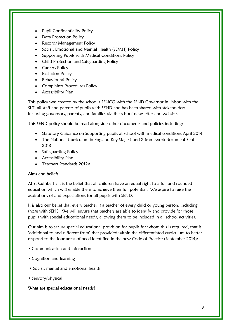- Pupil Confidentiality Policy
- Data Protection Policy
- Records Management Policy
- Social, Emotional and Mental Health (SEMH) Policy
- Supporting Pupils with Medical Conditions Policy
- Child Protection and Safeguarding Policy
- Careers Policy
- Exclusion Policy
- Behavioural Policy
- Complaints Procedures Policy
- Accessibility Plan

This policy was created by the school's SENCO with the SEND Governor in liaison with the SLT, all staff and parents of pupils with SEND and has been shared with stakeholders, including governors, parents, and families via the school newsletter and website.

This SEND policy should be read alongside other documents and policies including:

- Statutory Guidance on Supporting pupils at school with medical conditions April 2014
- The National Curriculum in England Key Stage 1 and 2 framework document Sept 2013
- Safeguarding Policy
- Accessibility Plan
- Teachers Standards 2012A

# Aims and beliefs

At St Cuthbert's it is the belief that all children have an equal right to a full and rounded education which will enable them to achieve their full potential. We aspire to raise the aspirations of and expectations for all pupils with SEND.

It is also our belief that every teacher is a teacher of every child or young person, including those with SEND. We will ensure that teachers are able to identify and provide for those pupils with special educational needs, allowing them to be included in all school activities.

Our aim is to secure special educational provision for pupils for whom this is required, that is 'additional to and different from' that provided within the differentiated curriculum to better respond to the four areas of need identified in the new Code of Practice (September 2014):

- Communication and interaction
- Cognition and learning
- Social, mental and emotional health
- Sensory/physical

# What are special educational needs?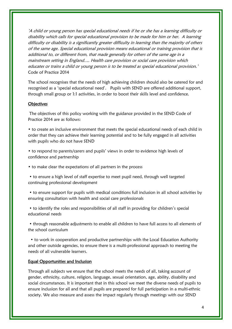'A child or young person has special educational needs if he or she has a learning difficulty or disability which calls for special educational provision to be made for him or her. A learning difficulty or disability is a significantly greater difficulty in learning than the majority of others of the same age. Special educational provision means educational or training provision that is additional to, or different from, that made generally for others of the same age in a mainstream setting in England…. Health care provision or social care provision which educates or trains a child or young person is to be treated as special educational provision.' Code of Practice 2014

The school recognises that the needs of high achieving children should also be catered for and recognised as a 'special educational need'. Pupils with SEND are offered additional support, through small group or 1:1 activities, in order to boost their skills level and confidence.

#### **Objectives**

The objectives of this policy working with the guidance provided in the SEND Code of Practice 2014 are as follows:

• to create an inclusive environment that meets the special educational needs of each child in order that they can achieve their learning potential and to be fully engaged in all activities with pupils who do not have SEND

• to respond to parents/carers and pupils' views in order to evidence high levels of confidence and partnership

• to make clear the expectations of all partners in the process

• to ensure a high level of staff expertise to meet pupil need, through well targeted continuing professional development

• to ensure support for pupils with medical conditions full inclusion in all school activities by ensuring consultation with health and social care professionals

• to identify the roles and responsibilities of all staff in providing for children's special educational needs

• through reasonable adjustments to enable all children to have full access to all elements of the school curriculum

 • to work in cooperation and productive partnerships with the Local Education Authority and other outside agencies, to ensure there is a multi-professional approach to meeting the needs of all vulnerable learners.

#### Equal Opportunities and Inclusion

Through all subjects we ensure that the school meets the needs of all, taking account of gender, ethnicity, culture, religion, language, sexual orientation, age, ability, disability and social circumstances. It is important that in this school we meet the diverse needs of pupils to ensure inclusion for all and that all pupils are prepared for full participation in a multi-ethnic society. We also measure and assess the impact regularly through meetings with our SEND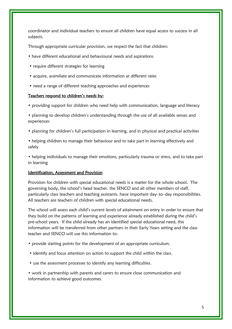coordinator and individual teachers to ensure all children have equal access to success in all subjects.

Through appropriate curricular provision, we respect the fact that children:

- have different educational and behavioural needs and aspirations
- require different strategies for learning
- acquire, assimilate and communicate information at different rates
- need a range of different teaching approaches and experiences

#### Teachers respond to children's needs by:

• providing support for children who need help with communication, language and literacy

• planning to develop children's understanding through the use of all available senses and experiences

- planning for children's full participation in learning, and in physical and practical activities
- helping children to manage their behaviour and to take part in learning effectively and safely

• helping individuals to manage their emotions, particularly trauma or stress, and to take part in learning

#### Identification, Assessment and Provision

Provision for children with special educational needs is a matter for the whole school. The governing body, the school's head teacher, the SENCO and all other members of staff, particularly class teachers and teaching assistants, have important day–to–day responsibilities. All teachers are teachers of children with special educational needs.

The school will assess each child's current levels of attainment on entry in order to ensure that they build on the patterns of learning and experience already established during the child's pre-school years. If the child already has an identified special educational need, this information will be transferred from other partners in their Early Years setting and the class teacher and SENCO will use this information to:

- provide starting points for the development of an appropriate curriculum.
- identify and focus attention on action to support the child within the class.
- use the assessment processes to identify any learning difficulties.

• work in partnership with parents and carers to ensure close communication and information to achieve good outcomes.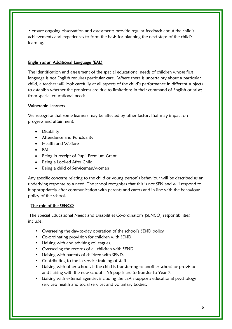• ensure ongoing observation and assessments provide regular feedback about the child's achievements and experiences to form the basis for planning the next steps of the child's learning.

#### English as an Additional Language (EAL)

The identification and assessment of the special educational needs of children whose first language is not English requires particular care. Where there is uncertainty about a particular child, a teacher will look carefully at all aspects of the child's performance in different subjects to establish whether the problems are due to limitations in their command of English or arises from special educational needs.

#### Vulnerable Learners

We recognise that some learners may be affected by other factors that may impact on progress and attainment.

- Disability
- Attendance and Punctuality
- Health and Welfare
- EAL
- Being in receipt of Pupil Premium Grant
- Being a Looked After Child
- Being a child of Serviceman/woman

Any specific concerns relating to the child or young person's behaviour will be described as an underlying response to a need. The school recognises that this is not SEN and will respond to it appropriately after communication with parents and carers and in-line with the behaviour policy of the school.

#### The role of the SENCO

The Special Educational Needs and Disabilities Co-ordinator's [SENCO] responsibilities include:

- Overseeing the day-to-day operation of the school's SEND policy
- Co-ordinating provision for children with SEND.
- Liaising with and advising colleagues.
- Overseeing the records of all children with SEND.
- Liaising with parents of children with SEND.
- Contributing to the in-service training of staff.
- Liaising with other schools if the child is transferring to another school or provision and liaising with the new school if Y6 pupils are to transfer to Year 7.
- Liaising with external agencies including the LEA's support; educational psychology services; health and social services and voluntary bodies.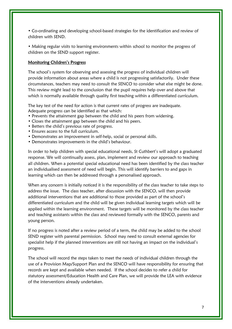• Co-ordinating and developing school-based strategies for the identification and review of children with SEND.

• Making regular visits to learning environments within school to monitor the progress of children on the SEND support register.

#### Monitoring Children's Progress

The school's system for observing and assessing the progress of individual children will provide information about areas where a child is not progressing satisfactorily. Under these circumstances, teachers may need to consult the SENCO to consider what else might be done. This review might lead to the conclusion that the pupil requires help over and above that which is normally available through quality first teaching within a differentiated curriculum.

The key test of the need for action is that current rates of progress are inadequate. Adequate progress can be identified as that which:

- Prevents the attainment gap between the child and his peers from widening.
- Closes the attainment gap between the child and his peers.
- Betters the child's previous rate of progress.
- Ensures access to the full curriculum.
- Demonstrates an improvement in self-help, social or personal skills.
- Demonstrates improvements in the child's behaviour.

In order to help children with special educational needs, St Cuthbert's will adopt a graduated response. We will continually assess, plan, implement and review our approach to teaching all children. When a potential special educational need has been identified by the class teacher an individualised assessment of need will begin. This will identify barriers to and gaps in learning which can then be addressed through a personalised approach.

When any concern is initially noticed it is the responsibility of the class teacher to take steps to address the issue. The class teacher, after discussion with the SENCO, will then provide additional interventions that are additional to those provided as part of the school's differentiated curriculum and the child will be given individual learning targets which will be applied within the learning environment. These targets will be monitored by the class teacher and teaching assistants within the class and reviewed formally with the SENCO, parents and young person.

If no progress is noted after a review period of a term, the child may be added to the school SEND register with parental permission. School may need to consult external agencies for specialist help if the planned interventions are still not having an impact on the individual's progress.

The school will record the steps taken to meet the needs of individual children through the use of a Provision Map/Support Plan and the SENCO will have responsibility for ensuring that records are kept and available when needed. If the school decides to refer a child for statutory assessment/Education Health and Care Plan, we will provide the LEA with evidence of the interventions already undertaken.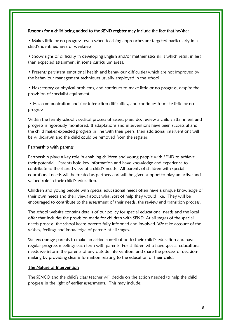#### Reasons for a child being added to the SEND register may include the fact that he/she:

• Makes little or no progress, even when teaching approaches are targeted particularly in a child's identified area of weakness.

• Shows signs of difficulty in developing English and/or mathematics skills which result in less than expected attainment in some curriculum areas.

• Presents persistent emotional health and behaviour difficulties which are not improved by the behaviour management techniques usually employed in the school.

• Has sensory or physical problems, and continues to make little or no progress, despite the provision of specialist equipment.

• Has communication and / or interaction difficulties, and continues to make little or no progress.

Within the termly school's cyclical process of assess, plan, do, review a child's attainment and progress is rigorously monitored. If adaptations and interventions have been successful and the child makes expected progress in line with their peers, then additional interventions will be withdrawn and the child could be removed from the register.

#### Partnership with parents

Partnership plays a key role in enabling children and young people with SEND to achieve their potential. Parents hold key information and have knowledge and experience to contribute to the shared view of a child's needs. All parents of children with special educational needs will be treated as partners and will be given support to play an active and valued role in their child's education.

Children and young people with special educational needs often have a unique knowledge of their own needs and their views about what sort of help they would like. They will be encouraged to contribute to the assessment of their needs, the review and transition process.

The school website contains details of our policy for special educational needs and the local offer that includes the provision made for children with SEND. At all stages of the special needs process, the school keeps parents fully informed and involved. We take account of the wishes, feelings and knowledge of parents at all stages.

We encourage parents to make an active contribution to their child's education and have regular progress meetings each term with parents. For children who have special educational needs we inform the parents of any outside intervention, and share the process of decisionmaking by providing clear information relating to the education of their child.

#### The Nature of Intervention

The SENCO and the child's class teacher will decide on the action needed to help the child progress in the light of earlier assessments. This may include: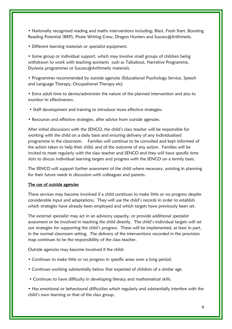• Nationally recognised reading and maths interventions including; Blast, Fresh Start, Boosting Reading Potential (BRP), Pirate Writing Crew, Dragon Hunters and Success@Arithmetic.

• Different learning materials or specialist equipment.

• Some group or individual support, which may involve small groups of children being withdrawn to work with teaching assistants such as Talkabout, Narrative Programme, Dyslexia programmes or Success@Arithmetic materials.

• Programmes recommended by outside agencies (Educational Psychology Service, Speech and Language Therapy, Occupational Therapy etc)

• Extra adult time to devise/administer the nature of the planned intervention and also to monitor its effectiveness.

• Staff development and training to introduce more effective strategies.

• Resources and effective strategies, after advice from outside agencies.

After initial discussions with the SENCO, the child's class teacher will be responsible for working with the child on a daily basis and ensuring delivery of any individualised programme in the classroom. Families will continue to be consulted and kept informed of the action taken to help their child, and of the outcome of any action. Families will be invited to meet regularly with the class teacher and SENCO and they will have specific time slots to discuss individual learning targets and progress with the SENCO on a termly basis.

The SENCO will support further assessment of the child where necessary, assisting in planning for their future needs in discussion with colleagues and parents.

#### The use of outside agencies

These services may become involved if a child continues to make little or no progress despite considerable input and adaptations. They will use the child's records in order to establish which strategies have already been employed and which targets have previously been set.

The external specialist may act in an advisory capacity, or provide additional specialist assessment or be involved in teaching the child directly. The child's individual targets will set out strategies for supporting the child's progress. These will be implemented, at least in part, in the normal classroom setting. The delivery of the interventions recorded in the provision map continues to be the responsibility of the class teacher.

Outside agencies may become involved if the child:

- Continues to make little or no progress in specific areas over a long period.
- Continues working substantially below that expected of children of a similar age.
- Continues to have difficulty in developing literacy and mathematical skills.

• Has emotional or behavioural difficulties which regularly and substantially interfere with the child's own learning or that of the class group.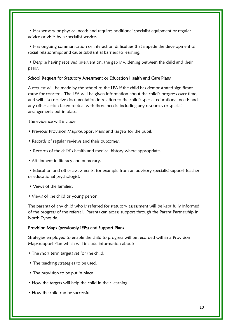• Has sensory or physical needs and requires additional specialist equipment or regular advice or visits by a specialist service.

• Has ongoing communication or interaction difficulties that impede the development of social relationships and cause substantial barriers to learning.

• Despite having received intervention, the gap is widening between the child and their peers.

# School Request for Statutory Assessment or Education Health and Care Plans

A request will be made by the school to the LEA if the child has demonstrated significant cause for concern. The LEA will be given information about the child's progress over time, and will also receive documentation in relation to the child's special educational needs and any other action taken to deal with those needs, including any resources or special arrangements put in place.

The evidence will include:

- Previous Provision Maps/Support Plans and targets for the pupil.
- Records of regular reviews and their outcomes.
- Records of the child's health and medical history where appropriate.
- Attainment in literacy and numeracy.

• Education and other assessments, for example from an advisory specialist support teacher or educational psychologist.

- Views of the families.
- Views of the child or young person.

The parents of any child who is referred for statutory assessment will be kept fully informed of the progress of the referral. Parents can access support through the Parent Partnership in North Tyneside.

#### Provision Maps (previously IEPs) and Support Plans

Strategies employed to enable the child to progress will be recorded within a Provision Map/Support Plan which will include information about:

- The short term targets set for the child.
- The teaching strategies to be used.
- The provision to be put in place
- How the targets will help the child in their learning
- How the child can be successful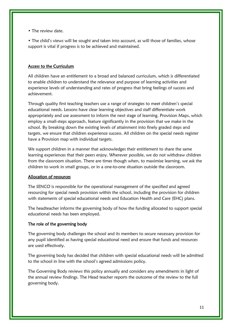• The review date.

• The child's views will be sought and taken into account, as will those of families, whose support is vital if progress is to be achieved and maintained.

#### Access to the Curriculum

All children have an entitlement to a broad and balanced curriculum, which is differentiated to enable children to understand the relevance and purpose of learning activities and experience levels of understanding and rates of progress that bring feelings of success and achievement.

Through quality first teaching teachers use a range of strategies to meet children's special educational needs. Lessons have clear learning objectives and staff differentiate work appropriately and use assessment to inform the next stage of learning. Provision Maps, which employ a small-steps approach, feature significantly in the provision that we make in the school. By breaking down the existing levels of attainment into finely graded steps and targets, we ensure that children experience success. All children on the special needs register have a Provision map with individual targets.

We support children in a manner that acknowledges their entitlement to share the same learning experiences that their peers enjoy. Wherever possible, we do not withdraw children from the classroom situation. There are times though when, to maximise learning, we ask the children to work in small groups, or in a one-to-one situation outside the classroom.

#### Allocation of resources

The SENCO is responsible for the operational management of the specified and agreed resourcing for special needs provision within the school, including the provision for children with statements of special educational needs and Education Health and Care (EHC) plans.

The headteacher informs the governing body of how the funding allocated to support special educational needs has been employed.

#### The role of the governing body

The governing body challenges the school and its members to secure necessary provision for any pupil identified as having special educational need and ensure that funds and resources are used effectively.

The governing body has decided that children with special educational needs will be admitted to the school in line with the school's agreed admissions policy.

The Governing Body reviews this policy annually and considers any amendments in light of the annual review findings. The Head teacher reports the outcome of the review to the full governing body.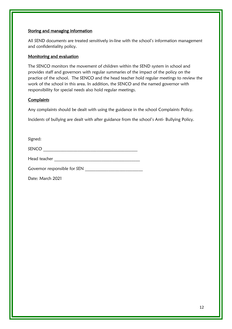#### Storing and managing information

All SEND documents are treated sensitively in-line with the school's information management and confidentiality policy.

#### Monitoring and evaluation

The SENCO monitors the movement of children within the SEND system in school and provides staff and governors with regular summaries of the impact of the policy on the practice of the school. The SENCO and the head teacher hold regular meetings to review the work of the school in this area. In addition, the SENCO and the named governor with responsibility for special needs also hold regular meetings.

# **Complaints**

Any complaints should be dealt with using the guidance in the school Complaints Policy.

Incidents of bullying are dealt with after guidance from the school's Anti- Bullying Policy.

Signed:

 ${\tt SENCO} \xrightarrow{\hspace*{1.5cm}} {\tt SENCO} \xrightarrow{\hspace*{1.5cm}} {\tt SENCO} \xrightarrow{\hspace*{1.5cm}} {\tt SENCO} \xrightarrow{\hspace*{1.5cm}} {\tt SINCO} \xrightarrow{\hspace*{1.5cm}} {\tt SINCO} \xrightarrow{\hspace*{1.5cm}} {\tt SINCO} \xrightarrow{\hspace*{1.5cm}} {\tt SINCO} \xrightarrow{\hspace*{1.5cm}} {\tt SINCO} \xrightarrow{\hspace*{1.5cm}} {\tt SINCO} \xrightarrow{\hspace*{1.5cm}} {\tt SINCO} \xrightarrow{\hspace*{1.5cm}} {\tt SINCO} \xrightarrow{\hs$ 

Head teacher \_\_\_\_\_\_\_\_\_\_\_\_\_\_\_\_\_\_\_\_\_\_\_\_\_\_\_\_\_\_\_\_\_\_\_\_\_\_\_\_

Governor responsible for SEN \_\_\_\_\_\_\_\_\_\_\_\_\_\_\_\_\_\_\_\_\_\_\_\_\_\_\_

Date: March 2021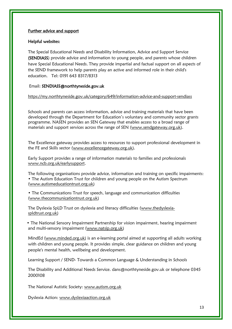#### Further advice and support

#### Helpful websites:

The Special Educational Needs and Disability Information, Advice and Support Service (SENDIASS) provide advice and information to young people, and parents whose children have Special Educational Needs. They provide impartial and factual support on all aspects of the SEND framework to help parents play an active and informed role in their child's education. Tel: 0191 643 8317/8313

#### Email: [SENDIASS@northtyneside.gov.uk](mailto:SENDIASS@northtyneside.gov.uk)

#### <https://my.northtyneside.gov.uk/category/649/information-advice-and-support-sendiass>

Schools and parents can access information, advice and training materials that have been developed through the Department for Education's voluntary and community sector grants programme. NASEN provides an SEN Gateway that enables access to a broad range of materials and support services across the range of SEN [\(www.sendgateway.org.uk\)](http://www.sendgateway.org.uk/).

The Excellence gateway provides access to resources to support professional development in the FE and Skills sector [\(www.excellencegateway.org.uk\)](http://www.excellencegateway.org.uk/).

Early Support provides a range of information materials to families and professionals [www.ncb.org.uk/earlysupport.](http://www.ncb.org.uk/earlysupport)

The following organisations provide advice, information and training on specific impairments: • The Autism Education Trust for children and young people on the Autism Spectrum (www.autismeducationtrust.org.uk)

• The Communications Trust for speech, language and communication difficulties (www.thecommunicationtrust.org.uk)

The Dyslexia SpLD Trust on dyslexia and literacy difficulties (www.thedyslexiaspldtrust.org.uk)

 • The National Sensory Impairment Partnership for vision impairment, hearing impairment and multi-sensory impairment (www.natsip.org.uk)

MindEd (www.minded.org.uk) is an e-learning portal aimed at supporting all adults working with children and young people. It provides simple, clear guidance on children and young people's mental health, wellbeing and development.

Learning Support / SEND- Towards a Common Language & Understanding in Schools

The Disability and Additional Needs Service. dans@northtyneside.gov.uk or telephone 0345 2000108

The National Autistic Society: [www.autism.org.uk](http://www.autism.org.uk/)

Dyslexia Action: [www.dyslexiaaction.org.uk](http://www.dyslexiaaction.org.uk/)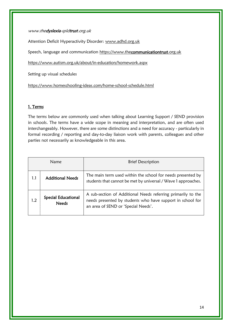#### www.thedyslexia-spldtrust.org.uk

Attention Deficit Hyperactivity Disorder: [www.adhd.org.uk](http://www.adhd.org.uk/)

Speech, language and communication [https://www.thecommunicationtrust.org.uk](https://www.thecommunicationtrust.org.uk/)

<https://www.autism.org.uk/about/in-education/homework.aspx>

Setting up visual schedules

<https://www.homeschooling-ideas.com/home-school-schedule.html>

#### 1. Terms

The terms below are commonly used when talking about Learning Support / SEND provision in schools. The terms have a wide scope in meaning and interpretation, and are often used interchangeably. However, there are some distinctions and a need for accuracy - particularly in formal recording / reporting and day-to-day liaison work with parents, colleagues and other parties not necessarily as knowledgeable in this area.

| <b>Name</b> |                                            | <b>Brief Description</b>                                                                                                                                          |
|-------------|--------------------------------------------|-------------------------------------------------------------------------------------------------------------------------------------------------------------------|
| 1.1         | <b>Additional Needs</b>                    | The main term used within the school for needs presented by<br>students that cannot be met by universal / Wave 1 approaches.                                      |
| 1.2         | <b>Special Educational</b><br><b>Needs</b> | A sub-section of Additional Needs referring primarily to the<br>needs presented by students who have support in school for<br>an area of SEND or 'Special Needs'. |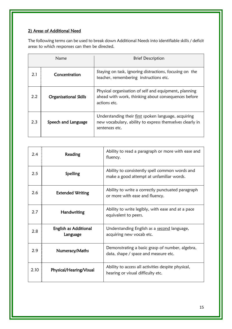# 2) Areas of Additional Need

The following terms can be used to break down Additional Needs into identifiable skills / deficit areas to which responses can then be directed.

| Name |                              | <b>Brief Description</b>                                                                                                           |
|------|------------------------------|------------------------------------------------------------------------------------------------------------------------------------|
| 2.1  | Concentration                | Staying on task, ignoring distractions, focusing on the<br>teacher, remembering instructions etc.                                  |
| 2.2  | <b>Organisational Skills</b> | Physical organisation of self and equipment, planning<br>ahead with work, thinking about consequences before<br>actions etc.       |
| 2.3  | Speech and Language          | Understanding their first spoken language, acquiring<br>new vocabulary, ability to express themselves clearly in<br>sentences etc. |

| 2.4  | Reading                           | Ability to read a paragraph or more with ease and<br>fluency.                              |
|------|-----------------------------------|--------------------------------------------------------------------------------------------|
| 2.5  | Spelling                          | Ability to consistently spell common words and<br>make a good attempt at unfamiliar words. |
| 2.6  | <b>Extended Writing</b>           | Ability to write a correctly punctuated paragraph<br>or more with ease and fluency.        |
| 2.7  | Handwriting                       | Ability to write legibly, with ease and at a pace<br>equivalent to peers.                  |
| 2.8  | English as Additional<br>Language | Understanding English as a second language,<br>acquiring new vocab etc.                    |
| 2.9  | Numeracy/Maths                    | Demonstrating a basic grasp of number, algebra,<br>data, shape / space and measure etc.    |
| 2.10 | Physical/Hearing/Visual           | Ability to access all activities despite physical,<br>hearing or visual difficulty etc.    |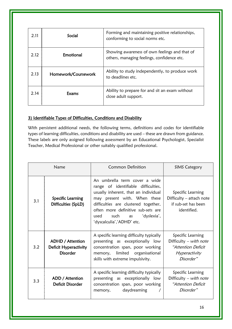| 2.11 | Social              | Forming and maintaining positive relationships,<br>conforming to social norms etc.          |
|------|---------------------|---------------------------------------------------------------------------------------------|
| 2.12 | Emotional           | Showing awareness of own feelings and that of<br>others, managing feelings, confidence etc. |
| 2.13 | Homework/Coursework | Ability to study independently, to produce work<br>to deadlines etc.                        |
| 2.14 | Exams               | Ability to prepare for and sit an exam without<br>close adult support.                      |

# 3) Identifiable Types of Difficulties, Conditions and Disability

With persistent additional needs, the following terms, definitions and codes for identifiable types of learning difficulties, conditions and disability are used – these are drawn from guidance. These labels are only assigned following assessment by an Educational Psychologist, Specialist Teacher, Medical Professional or other suitably qualified professional.

| Name |                                                              | Common Definition                                                                                                                                                                                                                                                                            | <b>SIMS Category</b>                                                                                   |
|------|--------------------------------------------------------------|----------------------------------------------------------------------------------------------------------------------------------------------------------------------------------------------------------------------------------------------------------------------------------------------|--------------------------------------------------------------------------------------------------------|
| 3.1  | <b>Specific Learning</b><br>Difficulties (SpLD)              | An umbrella term cover a wide<br>range of identifiable difficulties,<br>usually inherent, that an individual<br>may present with. When these<br>difficulties are clustered together,<br>often more definitive sub-sets are<br>such<br>'dyslexia',<br>used<br>as<br>'dyscalculia','ADHD' etc. | Specific Learning<br>Difficulty – attach note<br>if sub-set has been<br>identified.                    |
| 3.2  | ADHD / Attention<br>Deficit Hyperactivity<br><b>Disorder</b> | A specific learning difficulty typically<br>presenting as exceptionally low<br>concentration span, poor working<br>limited organisational<br>memory,<br>skills with extreme impulsivity.                                                                                                     | Specific Learning<br>Difficulty – with note<br><i>"Attention Deficit</i><br>Hyperactivity<br>Disorder" |
| 3.3  | ADD / Attention<br>Deficit Disorder                          | A specific learning difficulty typically<br>presenting as exceptionally low<br>concentration span, poor working<br>daydreaming<br>memory,                                                                                                                                                    | Specific Learning<br>Difficulty – with note<br><i>"Attention Deficit</i><br>Disorder"                  |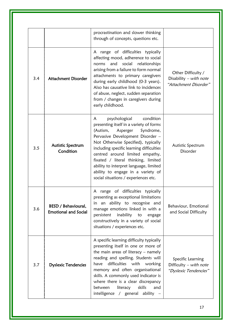|     |                                                    | procrastination and slower thinking<br>through of concepts, questions etc.                                                                                                                                                                                                                                                                                                                                                              |                                                                         |
|-----|----------------------------------------------------|-----------------------------------------------------------------------------------------------------------------------------------------------------------------------------------------------------------------------------------------------------------------------------------------------------------------------------------------------------------------------------------------------------------------------------------------|-------------------------------------------------------------------------|
| 3.4 | <b>Attachment Disorder</b>                         | A range of difficulties typically<br>affecting mood, adherence to social<br>relationships<br>norms and<br>social<br>arising from a failure to form normal<br>attachments to primary caregivers<br>during early childhood (0-3 years).<br>Also has causative link to incidences<br>of abuse, neglect, sudden separation<br>from / changes in caregivers during<br>early childhood.                                                       | Other Difficulty /<br>Disability $-$ with note<br>"Attachment Disorder" |
| 3.5 | Autistic Spectrum<br>Condition                     | psychological<br>condition<br>A<br>presenting itself in a variety of forms<br>Asperger<br>Syndrome,<br>(Autism,<br>Pervasive Development Disorder -<br>Not Otherwise Specified), typically<br>including specific learning difficulties<br>centred around limited empathy,<br>fixated / literal thinking, limited<br>ability to interpret language, limited<br>ability to engage in a variety of<br>social situations / experiences etc. | Autistic Spectrum<br>Disorder                                           |
| 3.6 | BESD / Behavioural,<br><b>Emotional and Social</b> | range of difficulties typically<br>A<br>presenting as exceptional limitations<br>in an ability to recognise and<br>manage emotions linked in with a<br>persistent<br>inability<br>engage<br>to<br>constructively in a variety of social<br>situations / experiences etc.                                                                                                                                                                | Behaviour, Emotional<br>and Social Difficulty                           |
| 3.7 | <b>Dyslexic Tendencies</b>                         | A specific learning difficulty typically<br>presenting itself in one or more of<br>the main areas of literacy $-$ namely<br>reading and spelling. Students will<br>difficulties with working<br>have<br>memory and often organisational<br>skills. A commonly used indicator is<br>where there is a clear discrepancy<br>literacy<br>skills<br>between<br>and<br>intelligence / general ability -                                       | Specific Learning<br>Difficulty $-$ with note<br>"Dyslexic Tendencies"  |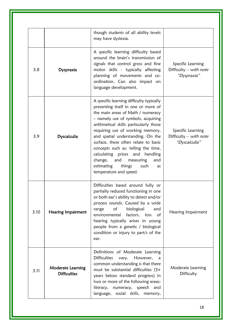|      |                                                 | though students of all ability levels<br>may have dyslexia.                                                                                                                                                                                                                                                                                                                                                                                                                                        |                                                              |
|------|-------------------------------------------------|----------------------------------------------------------------------------------------------------------------------------------------------------------------------------------------------------------------------------------------------------------------------------------------------------------------------------------------------------------------------------------------------------------------------------------------------------------------------------------------------------|--------------------------------------------------------------|
| 3.8  | Dyspraxia                                       | A specific learning difficulty based<br>around the brain's transmission of<br>signals that control gross and fine<br>motor skills - typically affecting<br>planning of movements and co-<br>ordination. Can also impact on<br>language development.                                                                                                                                                                                                                                                | Specific Learning<br>Difficulty – with note<br>"Dyspraxia"   |
| 3.9  | Dyscalculia                                     | A specific learning difficulty typically<br>presenting itself in one or more of<br>the main areas of Math / numeracy<br>- namely use of symbols, acquiring<br>arithmetical skills particularly those<br>requiring use of working memory,<br>and spatial understanding. On the<br>surface, these often relate to basic<br>concepts such as: telling the time,<br>calculating prices and handling<br>change, and<br>measuring<br>and<br>estimating<br>things<br>such<br>as<br>temperature and speed. | Specific Learning<br>Difficulty – with note<br>"Dyscalculia" |
| 3.10 | <b>Hearing Impairment</b>                       | Difficulties based around fully or<br>partially reduced functioning in one<br>or both ear's ability to detect and/or<br>process sounds. Caused by a wide<br>biological<br>of<br>range<br>and<br>environmental factors, loss<br>of<br>hearing typically arises in young<br>people from a genetic / biological<br>condition or injury to part/s of the<br>ear.                                                                                                                                       | Hearing Impairment                                           |
| 3.11 | <b>Moderate Learning</b><br><b>Difficulties</b> | Definitions of Moderate Learning<br><b>Difficulties</b><br>However,<br>vary.<br>a<br>common understanding is that there<br>must be substantial difficulties (3+<br>years below standard progress) in<br>two or more of the following areas:<br>literacy, numeracy, speech and<br>language, social skills, memory,                                                                                                                                                                                  | Moderate Learning<br>Difficulty                              |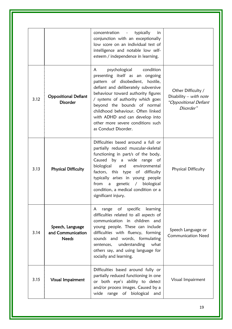|      |                                                       | concentration<br>typically<br>in<br>$\sim 100$ km s $^{-1}$<br>conjunction with an exceptionally<br>low score on an individual test of<br>intelligence and notable low self-<br>esteem / independence in learning.                                                                                                                                                                             |                                                                                      |
|------|-------------------------------------------------------|------------------------------------------------------------------------------------------------------------------------------------------------------------------------------------------------------------------------------------------------------------------------------------------------------------------------------------------------------------------------------------------------|--------------------------------------------------------------------------------------|
| 3.12 | <b>Oppositional Defiant</b><br><b>Disorder</b>        | psychological<br>condition<br>A<br>presenting itself as an ongoing<br>pattern of disobedient,<br>hostile,<br>defiant and deliberately subversive<br>behaviour toward authority figures<br>/ systems of authority which goes<br>beyond the bounds of normal<br>childhood behaviour. Often linked<br>with ADHD and can develop into<br>other more severe conditions such<br>as Conduct Disorder. | Other Difficulty /<br>Disability $-$ with note<br>"Oppositional Defiant<br>Disorder" |
| 3.13 | <b>Physical Difficulty</b>                            | Difficulties based around a full or<br>partially reduced muscular-skeletal<br>functioning in part/s of the body.<br>Caused by a wide range of<br>biological<br>and<br>environmental<br>factors, this type of difficulty<br>typically arises in young people<br>/ biological<br>from<br>genetic<br>$\overline{a}$<br>condition, a medical condition or a<br>significant injury.                 | Physical Difficulty                                                                  |
| 3.14 | Speech, Language<br>and Communication<br><b>Needs</b> | range of specific learning<br>A<br>difficulties related to all aspects of<br>communication in children and<br>young people. These can include<br>difficulties with fluency, forming<br>sounds and words, formulating<br>understanding<br>what<br>sentences,<br>others say, and using language for<br>socially and learning.                                                                    | Speech Language or<br><b>Communication Need</b>                                      |
| 3.15 | Visual Impairment                                     | Difficulties based around fully or<br>partially reduced functioning in one<br>or both eye's ability to detect<br>and/or process images. Caused by a<br>wide range of biological and                                                                                                                                                                                                            | Visual Impairment                                                                    |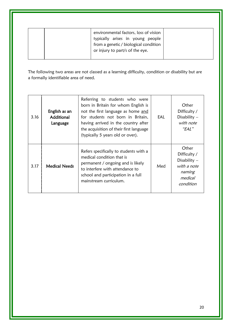| environmental factors, loss of vision<br>typically arises in young people<br>from a genetic / biological condition<br>or injury to part/s of the eye. |
|-------------------------------------------------------------------------------------------------------------------------------------------------------|
|-------------------------------------------------------------------------------------------------------------------------------------------------------|

The following two areas are not classed as a learning difficulty, condition or disability but are a formally identifiable area of need.

| 3.16 | English as an<br>Additional<br>Language | Referring to students who were<br>born in Britain for whom English is<br>not the first language as home and<br>for students not born in Britain,<br>having arrived in the country after<br>the acquisition of their first language<br>(typically 5 years old or over). | EAL | Other<br>Difficulty /<br>Disability $-$<br>with note<br>"EAL"                            |
|------|-----------------------------------------|------------------------------------------------------------------------------------------------------------------------------------------------------------------------------------------------------------------------------------------------------------------------|-----|------------------------------------------------------------------------------------------|
| 3.17 | <b>Medical Needs</b>                    | Refers specifically to students with a<br>medical condition that is<br>permanent / ongoing and is likely<br>to interfere with attendance to<br>school and participation in a full<br>mainstream curriculum.                                                            | Med | Other<br>Difficulty /<br>Disability $-$<br>with a note<br>naming<br>medical<br>condition |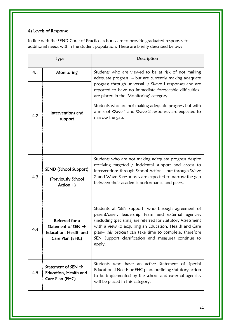# 4) Levels of Response

In line with the SEND Code of Practice, schools are to provide graduated responses to additional needs within the student population. These are briefly described below:

| Type |                                                                                              | Description                                                                                                                                                                                                                                                                                                                                                      |
|------|----------------------------------------------------------------------------------------------|------------------------------------------------------------------------------------------------------------------------------------------------------------------------------------------------------------------------------------------------------------------------------------------------------------------------------------------------------------------|
| 4.1  | Monitoring                                                                                   | Students who are viewed to be at risk of not making<br>adequate progress - but are currently making adequate                                                                                                                                                                                                                                                     |
|      |                                                                                              | progress through universal / Wave 1 responses and are<br>reported to have no immediate foreseeable difficulties-<br>are placed in the 'Monitoring' category.                                                                                                                                                                                                     |
| 4.2  | Interventions and<br>support                                                                 | Students who are not making adequate progress but with<br>a mix of Wave 1 and Wave 2 responses are expected to<br>narrow the gap.                                                                                                                                                                                                                                |
|      | SEND (School Support)                                                                        | Students who are not making adequate progress despite<br>receiving targeted / incidental support and access to<br>interventions through School Action - but through Wave                                                                                                                                                                                         |
| 4.3  | (Previously School<br>Action $+)$                                                            | 2 and Wave 3 responses are expected to narrow the gap<br>between their academic performance and peers.                                                                                                                                                                                                                                                           |
| 4.4  | Referred for a<br>Statement of SEN $\rightarrow$<br>Education, Health and<br>Care Plan (EHC) | Students at 'SEN support' who through agreement of<br>parent/carer, leadership team and external agencies<br>(including specialists) are referred for Statutory Assessment<br>with a view to acquiring an Education, Health and Care<br>plan- this process can take time to complete, therefore<br>SEN Support classification and measures continue to<br>apply. |
| 4.5  | Statement of SEN $\rightarrow$<br>Education, Health and<br>Care Plan (EHC)                   | Students who have an active Statement of Special<br>Educational Needs or EHC plan, outlining statutory action<br>to be implemented by the school and external agencies<br>will be placed in this category.                                                                                                                                                       |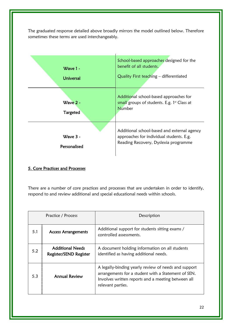The graduated response detailed above broadly mirrors the model outlined below. Therefore sometimes these terms are used interchangeably.



# 5. Core Practices and Processes

There are a number of core practices and processes that are undertaken in order to identify, respond to and review additional and special educational needs within schools.

| Practice / Process |                                                   | Description                                                                                                                                                                            |
|--------------------|---------------------------------------------------|----------------------------------------------------------------------------------------------------------------------------------------------------------------------------------------|
| 5.1                | <b>Access Arrangements</b>                        | Additional support for students sitting exams /<br>controlled assessments.                                                                                                             |
| 5.2                | <b>Additional Needs</b><br>Register/SEND Register | A document holding information on all students<br>identified as having additional needs.                                                                                               |
| 5.3                | <b>Annual Review</b>                              | A legally-binding yearly review of needs and support<br>arrangements for a student with a Statement of SEN.<br>Involves written reports and a meeting between all<br>relevant parties. |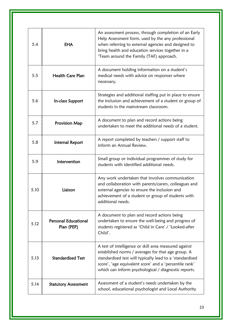| 5.4  | <b>EHA</b>                                | An assessment process, through completion of an Early<br>Help Assessment form, used by the any professional<br>when referring to external agencies and designed to<br>bring health and education services together in a<br>'Team around the Family (TAF) approach.                        |
|------|-------------------------------------------|-------------------------------------------------------------------------------------------------------------------------------------------------------------------------------------------------------------------------------------------------------------------------------------------|
| 5.5  | <b>Health Care Plan</b>                   | A document holding information on a student's<br>medical needs with advice on responses where<br>necessary.                                                                                                                                                                               |
| 5.6  | In-class Support                          | Strategies and additional staffing put in place to ensure<br>the inclusion and achievement of a student or group of<br>students in the mainstream classroom.                                                                                                                              |
| 5.7  | Provision Map                             | A document to plan and record actions being<br>undertaken to meet the additional needs of a student.                                                                                                                                                                                      |
| 5.8  | Internal Report                           | A report completed by teachers / support staff to<br>inform an Annual Review.                                                                                                                                                                                                             |
| 5.9  | Intervention                              | Small group or individual programmes of study for<br>students with identified additional needs.                                                                                                                                                                                           |
| 5.10 | Liaison                                   | Any work undertaken that involves communication<br>and collaboration with parents/carers, colleagues and<br>external agencies to ensure the inclusion and<br>achievement of a student or group of students with<br>additional needs.                                                      |
| 5.12 | <b>Personal Educational</b><br>Plan (PEP) | A document to plan and record actions being<br>undertaken to ensure the well-being and progress of<br>students registered as 'Child in Care' / 'Looked-after<br>Child'.                                                                                                                   |
| 5.13 | <b>Standardised Test</b>                  | A test of intelligence or skill area measured against<br>established norms / averages for that age group. A<br>standardised test will typically lead to a 'standardised<br>score', 'age equivalent score' and a 'percentile rank'<br>which can inform psychological / diagnostic reports. |
| 5.14 | <b>Statutory Assessment</b>               | Assessment of a student's needs undertaken by the<br>school, educational psychologist and Local Authority                                                                                                                                                                                 |